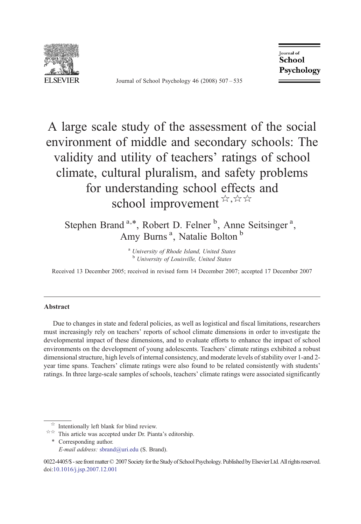

Journal of School Psychology 46 (2008) 507–535

**Journal** of School Psychology

A large scale study of the assessment of the social environment of middle and secondary schools: The validity and utility of teachers' ratings of school climate, cultural pluralism, and safety problems for understanding school effects and school improvement  $\forall x, x \in \mathbb{R}$ 

Stephen Brand<sup>a,\*</sup>, Robert D. Felner <sup>b</sup>, Anne Seitsinger<sup>a</sup>, Amy Burns<sup>a</sup>, Natalie Bolton<sup>b</sup>

> <sup>a</sup> University of Rhode Island, United States <sup>b</sup> University of Louisville, United States

Received 13 December 2005; received in revised form 14 December 2007; accepted 17 December 2007

## Abstract

Due to changes in state and federal policies, as well as logistical and fiscal limitations, researchers must increasingly rely on teachers' reports of school climate dimensions in order to investigate the developmental impact of these dimensions, and to evaluate efforts to enhance the impact of school environments on the development of young adolescents. Teachers' climate ratings exhibited a robust dimensional structure, high levels of internal consistency, and moderate levels of stability over 1-and 2 year time spans. Teachers' climate ratings were also found to be related consistently with students' ratings. In three large-scale samples of schools, teachers' climate ratings were associated significantly

doi:[10.1016/j.jsp.2007.12.001](http://dx.doi.org/10.1016/j.jsp.2007.12.001)

 $\dot{\mathbf{x}}$  Intentionally left blank for blind review.<br> $\dot{\mathbf{x}}$  This article was accepted under Dr. Pianta's editorship. ⁎ Corresponding author. E-mail address: [sbrand@uri.edu](mailto:sbrand@uri.�edu) (S. Brand).

<sup>0022-4405/\$ -</sup> see frontmatter © 2007 Society forthe Study of School Psychology. Published by Elsevier Ltd. All rights reserved.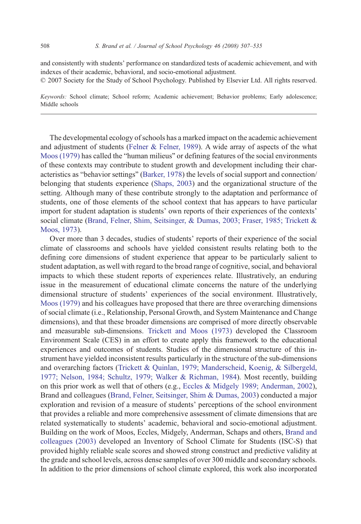and consistently with students' performance on standardized tests of academic achievement, and with indexes of their academic, behavioral, and socio-emotional adjustment.

© 2007 Society for the Study of School Psychology. Published by Elsevier Ltd. All rights reserved.

Keywords: School climate; School reform; Academic achievement; Behavior problems; Early adolescence; Middle schools

The developmental ecology of schools has a marked impact on the academic achievement and adjustment of students (Felner  $\&$  Felner, 1989). A wide array of aspects of the what [Moos \(1979\)](#page--1-0) has called the "human milieus" or defining features of the social environments of these contexts may contribute to student growth and development including their characteristics as "behavior settings" ([Barker, 1978](#page--1-0)) the levels of social support and connection/ belonging that students experience [\(Shaps, 2003](#page--1-0)) and the organizational structure of the setting. Although many of these contribute strongly to the adaptation and performance of students, one of those elements of the school context that has appears to have particular import for student adaptation is students' own reports of their experiences of the contexts' social climate [\(Brand, Felner, Shim, Seitsinger, & Dumas, 2003; Fraser, 1985; Trickett &](#page--1-0) [Moos, 1973](#page--1-0)).

Over more than 3 decades, studies of students' reports of their experience of the social climate of classrooms and schools have yielded consistent results relating both to the defining core dimensions of student experience that appear to be particularly salient to student adaptation, as well with regard to the broad range of cognitive, social, and behavioral impacts to which these student reports of experiences relate. Illustratively, an enduring issue in the measurement of educational climate concerns the nature of the underlying dimensional structure of students' experiences of the social environment. Illustratively, [Moos \(1979\)](#page--1-0) and his colleagues have proposed that there are three overarching dimensions of social climate (i.e., Relationship, Personal Growth, and System Maintenance and Change dimensions), and that these broader dimensions are comprised of more directly observable and measurable sub-dimensions. [Trickett and Moos \(1973\)](#page--1-0) developed the Classroom Environment Scale (CES) in an effort to create apply this framework to the educational experiences and outcomes of students. Studies of the dimensional structure of this instrument have yielded inconsistent results particularly in the structure of the sub-dimensions and overarching factors [\(Trickett & Quinlan, 1979; Manderscheid, Koenig, & Silbergeld,](#page--1-0) [1977; Nelson, 1984; Schultz, 1979; Walker & Richman, 1984](#page--1-0)). Most recently, building on this prior work as well that of others (e.g., [Eccles & Midgely 1989; Anderman, 2002](#page--1-0)), Brand and colleagues [\(Brand, Felner, Seitsinger, Shim & Dumas, 2003](#page--1-0)) conducted a major exploration and revision of a measure of students' perceptions of the school environment that provides a reliable and more comprehensive assessment of climate dimensions that are related systematically to students' academic, behavioral and socio-emotional adjustment. Building on the work of Moos, Eccles, Midgely, Anderman, Schaps and others, [Brand and](#page--1-0) [colleagues \(2003\)](#page--1-0) developed an Inventory of School Climate for Students (ISC-S) that provided highly reliable scale scores and showed strong construct and predictive validity at the grade and school levels, across dense samples of over 300 middle and secondary schools. In addition to the prior dimensions of school climate explored, this work also incorporated